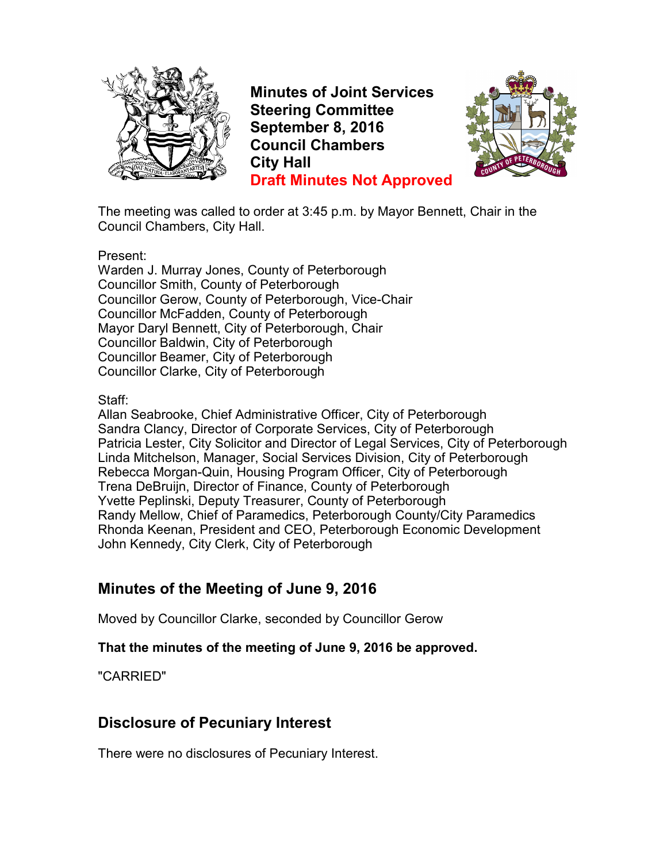

**Minutes of Joint Services Steering Committee September 8, 2016 Council Chambers City Hall Draft Minutes Not Approved**



The meeting was called to order at 3:45 p.m. by Mayor Bennett, Chair in the Council Chambers, City Hall.

Present:

Warden J. Murray Jones, County of Peterborough Councillor Smith, County of Peterborough Councillor Gerow, County of Peterborough, Vice-Chair Councillor McFadden, County of Peterborough Mayor Daryl Bennett, City of Peterborough, Chair Councillor Baldwin, City of Peterborough Councillor Beamer, City of Peterborough Councillor Clarke, City of Peterborough

Staff:

Allan Seabrooke, Chief Administrative Officer, City of Peterborough Sandra Clancy, Director of Corporate Services, City of Peterborough Patricia Lester, City Solicitor and Director of Legal Services, City of Peterborough Linda Mitchelson, Manager, Social Services Division, City of Peterborough Rebecca Morgan-Quin, Housing Program Officer, City of Peterborough Trena DeBruijn, Director of Finance, County of Peterborough Yvette Peplinski, Deputy Treasurer, County of Peterborough Randy Mellow, Chief of Paramedics, Peterborough County/City Paramedics Rhonda Keenan, President and CEO, Peterborough Economic Development John Kennedy, City Clerk, City of Peterborough

# **Minutes of the Meeting of June 9, 2016**

Moved by Councillor Clarke, seconded by Councillor Gerow

#### **That the minutes of the meeting of June 9, 2016 be approved.**

"CARRIED"

## **Disclosure of Pecuniary Interest**

There were no disclosures of Pecuniary Interest.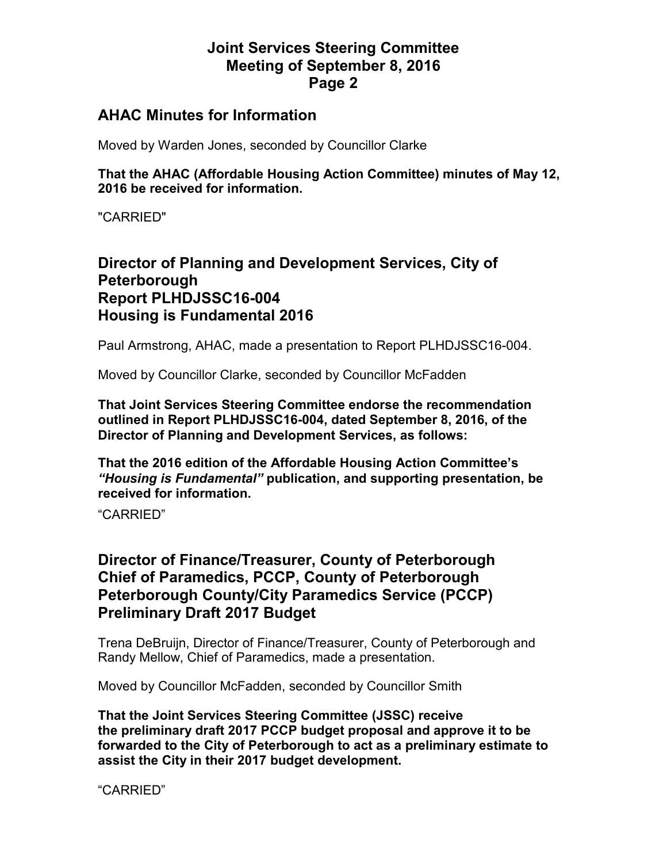### **Joint Services Steering Committee Meeting of September 8, 2016 Page 2**

#### **AHAC Minutes for Information**

Moved by Warden Jones, seconded by Councillor Clarke

**That the AHAC (Affordable Housing Action Committee) minutes of May 12, 2016 be received for information.** 

"CARRIED"

### **Director of Planning and Development Services, City of Peterborough Report PLHDJSSC16-004 Housing is Fundamental 2016**

Paul Armstrong, AHAC, made a presentation to Report PLHDJSSC16-004.

Moved by Councillor Clarke, seconded by Councillor McFadden

**That Joint Services Steering Committee endorse the recommendation outlined in Report PLHDJSSC16-004, dated September 8, 2016, of the Director of Planning and Development Services, as follows:** 

**That the 2016 edition of the Affordable Housing Action Committee's**  *"Housing is Fundamental"* **publication, and supporting presentation, be received for information.** 

"CARRIED"

### **Director of Finance/Treasurer, County of Peterborough Chief of Paramedics, PCCP, County of Peterborough Peterborough County/City Paramedics Service (PCCP) Preliminary Draft 2017 Budget**

Trena DeBruijn, Director of Finance/Treasurer, County of Peterborough and Randy Mellow, Chief of Paramedics, made a presentation.

Moved by Councillor McFadden, seconded by Councillor Smith

**That the Joint Services Steering Committee (JSSC) receive the preliminary draft 2017 PCCP budget proposal and approve it to be forwarded to the City of Peterborough to act as a preliminary estimate to assist the City in their 2017 budget development.** 

"CARRIED"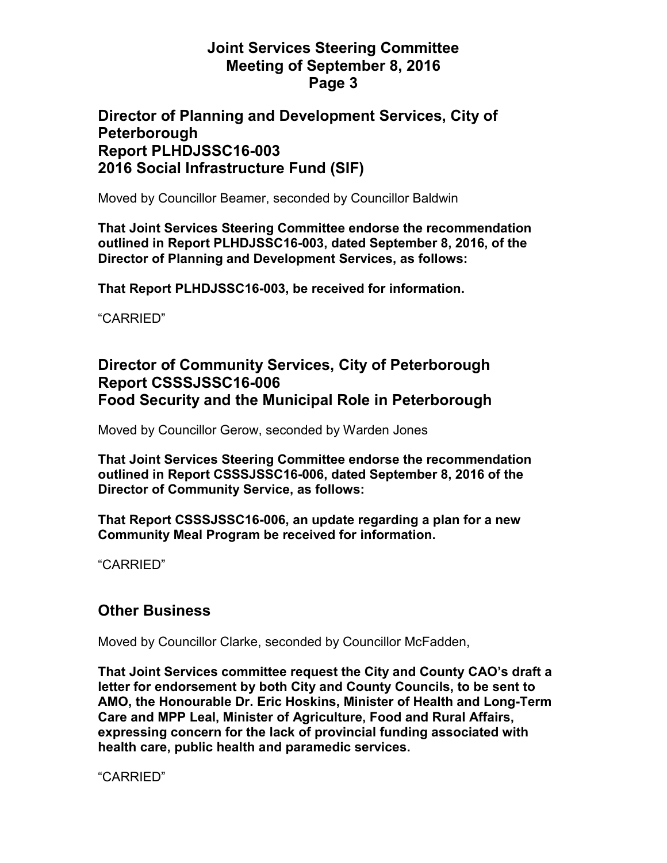#### **Joint Services Steering Committee Meeting of September 8, 2016 Page 3**

#### **Director of Planning and Development Services, City of Peterborough Report PLHDJSSC16-003 2016 Social Infrastructure Fund (SIF)**

Moved by Councillor Beamer, seconded by Councillor Baldwin

**That Joint Services Steering Committee endorse the recommendation outlined in Report PLHDJSSC16-003, dated September 8, 2016, of the Director of Planning and Development Services, as follows:** 

**That Report PLHDJSSC16-003, be received for information.** 

"CARRIED"

#### **Director of Community Services, City of Peterborough Report CSSSJSSC16-006 Food Security and the Municipal Role in Peterborough**

Moved by Councillor Gerow, seconded by Warden Jones

**That Joint Services Steering Committee endorse the recommendation outlined in Report CSSSJSSC16-006, dated September 8, 2016 of the Director of Community Service, as follows:** 

**That Report CSSSJSSC16-006, an update regarding a plan for a new Community Meal Program be received for information.**

"CARRIED"

#### **Other Business**

Moved by Councillor Clarke, seconded by Councillor McFadden,

**That Joint Services committee request the City and County CAO's draft a letter for endorsement by both City and County Councils, to be sent to AMO, the Honourable Dr. Eric Hoskins, Minister of Health and Long-Term Care and MPP Leal, Minister of Agriculture, Food and Rural Affairs, expressing concern for the lack of provincial funding associated with health care, public health and paramedic services.** 

"CARRIED"